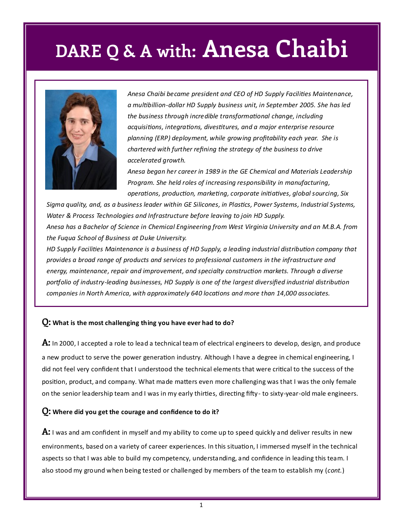### **DARE Q & A with: Anesa Chaibi**



*Anesa Chaibi became president and CEO of HD Supply Facilities Maintenance, a multibillion-dollar HD Supply business unit, in September 2005. She has led the business through incredible transformational change, including acquisitions, integrations, divestitures, and a major enterprise resource planning (ERP) deployment, while growing profitability each year. She is chartered with further refining the strategy of the business to drive accelerated growth.* 

*Anesa began her career in 1989 in the GE Chemical and Materials Leadership Program. She held roles of increasing responsibility in manufacturing, operations, production, marketing, corporate initiatives, global sourcing, Six* 

*Sigma quality, and, as a business leader within GE Silicones, in Plastics, Power Systems, Industrial Systems, Water & Process Technologies and Infrastructure before leaving to join HD Supply. Anesa has a Bachelor of Science in Chemical Engineering from West Virginia University and an M.B.A. from the Fuqua School of Business at Duke University.* 

*HD Supply Facilities Maintenance is a business of HD Supply, a leading industrial distribution company that provides a broad range of products and services to professional customers in the infrastructure and energy, maintenance, repair and improvement, and specialty construction markets. Through a diverse portfolio of industry-leading businesses, HD Supply is one of the largest diversified industrial distribution companies in North America, with approximately 640 locations and more than 14,000 associates.* 

#### **Q: What is the most challenging thing you have ever had to do?**

**A:** In 2000, I accepted a role to lead a technical team of electrical engineers to develop, design, and produce a new product to serve the power generation industry. Although I have a degree in chemical engineering, I did not feel very confident that I understood the technical elements that were critical to the success of the position, product, and company. What made matters even more challenging was that I was the only female on the senior leadership team and I was in my early thirties, directing fifty- to sixty-year-old male engineers.

#### **Q: Where did you get the courage and confidence to do it?**

**A:** I was and am confident in myself and my ability to come up to speed quickly and deliver results in new environments, based on a variety of career experiences. In this situation, I immersed myself in the technical aspects so that I was able to build my competency, understanding, and confidence in leading this team. I also stood my ground when being tested or challenged by members of the team to establish my (*cont.*)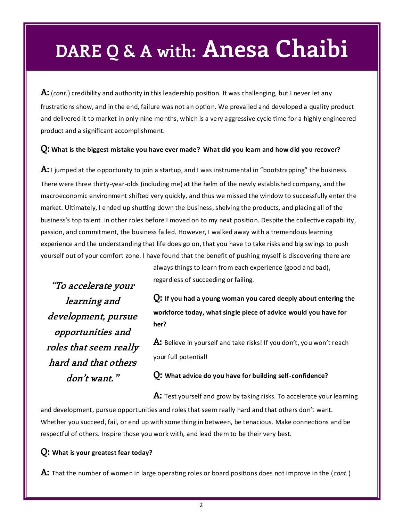## **DARE Q & A with: Anesa Chaibi**

**A:** (*cont.*) credibility and authority in this leadership position. It was challenging, but I never let any frustrations show, and in the end, failure was not an option. We prevailed and developed a quality product and delivered it to market in only nine months, which is a very aggressive cycle time for a highly engineered product and a significant accomplishment.

#### **Q: What is the biggest mistake you have ever made? What did you learn and how did you recover?**

**A:** I jumped at the opportunity to join a startup, and I was instrumental in "bootstrapping" the business. There were three thirty-year-olds (including me) at the helm of the newly established company, and the macroeconomic environment shifted very quickly, and thus we missed the window to successfully enter the market. Ultimately, I ended up shutting down the business, shelving the products, and placing all of the business's top talent in other roles before I moved on to my next position. Despite the collective capability, passion, and commitment, the business failed. However, I walked away with a tremendous learning experience and the understanding that life does go on, that you have to take risks and big swings to push yourself out of your comfort zone. I have found that the benefit of pushing myself is discovering there are

**"To accelerate your learning and development, pursue opportunities and roles that seem really hard and that others don't want."**

always things to learn from each experience (good and bad), regardless of succeeding or failing.

**Q: If you had a young woman you cared deeply about entering the workforce today, what single piece of advice would you have for her?**

**A:** Believe in yourself and take risks! If you don't, you won't reach your full potential!

**Q: What advice do you have for building self-confidence?**

**A:** Test yourself and grow by taking risks. To accelerate your learning

and development, pursue opportunities and roles that seem really hard and that others don't want. Whether you succeed, fail, or end up with something in between, be tenacious. Make connections and be respectful of others. Inspire those you work with, and lead them to be their very best.

#### **Q: What is your greatest fear today?**

**A:** That the number of women in large operating roles or board positions does not improve in the (*cont.*)